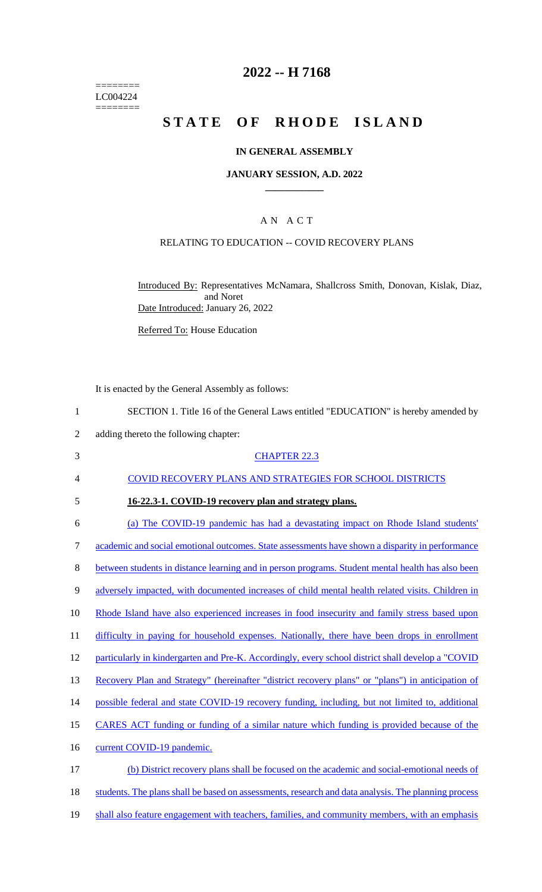======== LC004224  $=$ 

### **2022 -- H 7168**

# **STATE OF RHODE ISLAND**

### **IN GENERAL ASSEMBLY**

#### **JANUARY SESSION, A.D. 2022 \_\_\_\_\_\_\_\_\_\_\_\_**

### A N A C T

### RELATING TO EDUCATION -- COVID RECOVERY PLANS

Introduced By: Representatives McNamara, Shallcross Smith, Donovan, Kislak, Diaz, and Noret Date Introduced: January 26, 2022

Referred To: House Education

It is enacted by the General Assembly as follows:

| $\mathbf{1}$   | SECTION 1. Title 16 of the General Laws entitled "EDUCATION" is hereby amended by                   |
|----------------|-----------------------------------------------------------------------------------------------------|
| $\overline{2}$ | adding thereto the following chapter:                                                               |
| 3              | <b>CHAPTER 22.3</b>                                                                                 |
| $\overline{4}$ | <b>COVID RECOVERY PLANS AND STRATEGIES FOR SCHOOL DISTRICTS</b>                                     |
| 5              | 16-22.3-1. COVID-19 recovery plan and strategy plans.                                               |
| 6              | (a) The COVID-19 pandemic has had a devastating impact on Rhode Island students'                    |
| $\tau$         | academic and social emotional outcomes. State assessments have shown a disparity in performance     |
| 8              | between students in distance learning and in person programs. Student mental health has also been   |
| 9              | adversely impacted, with documented increases of child mental health related visits. Children in    |
| 10             | Rhode Island have also experienced increases in food insecurity and family stress based upon        |
| 11             | difficulty in paying for household expenses. Nationally, there have been drops in enrollment        |
| 12             | particularly in kindergarten and Pre-K. Accordingly, every school district shall develop a "COVID   |
| 13             | Recovery Plan and Strategy" (hereinafter "district recovery plans" or "plans") in anticipation of   |
| 14             | possible federal and state COVID-19 recovery funding, including, but not limited to, additional     |
| 15             | CARES ACT funding or funding of a similar nature which funding is provided because of the           |
| 16             | current COVID-19 pandemic.                                                                          |
| 17             | (b) District recovery plans shall be focused on the academic and social-emotional needs of          |
| 18             | students. The plans shall be based on assessments, research and data analysis. The planning process |
| 19             | shall also feature engagement with teachers, families, and community members, with an emphasis      |
|                |                                                                                                     |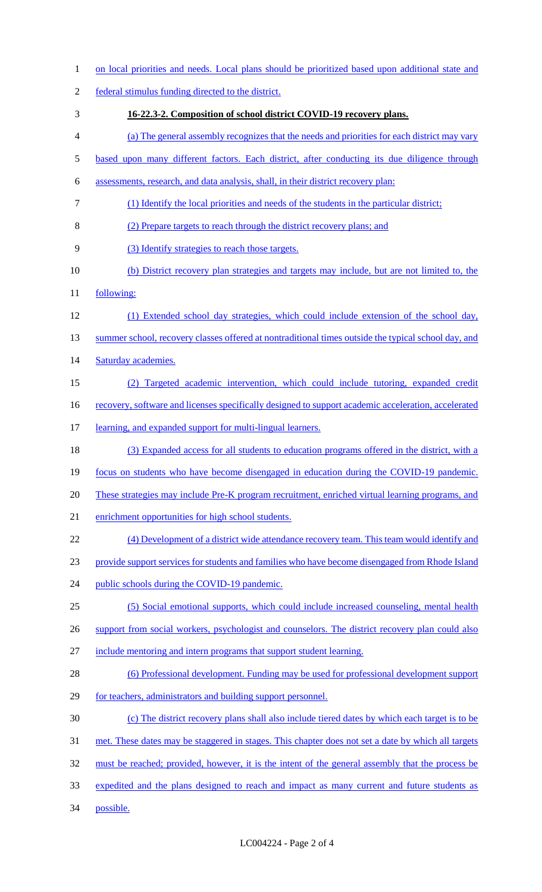| $\mathbf{1}$   | on local priorities and needs. Local plans should be prioritized based upon additional state and           |
|----------------|------------------------------------------------------------------------------------------------------------|
| $\overline{2}$ | federal stimulus funding directed to the district.                                                         |
| 3              | 16-22.3-2. Composition of school district COVID-19 recovery plans.                                         |
| 4              | (a) The general assembly recognizes that the needs and priorities for each district may vary               |
| 5              | based upon many different factors. Each district, after conducting its due diligence through               |
| 6              | assessments, research, and data analysis, shall, in their district recovery plan:                          |
| 7              | (1) Identify the local priorities and needs of the students in the particular district;                    |
| 8              | (2) Prepare targets to reach through the district recovery plans; and                                      |
| 9              | (3) Identify strategies to reach those targets.                                                            |
| 10             | (b) District recovery plan strategies and targets may include, but are not limited to, the                 |
| 11             | following:                                                                                                 |
| 12             | (1) Extended school day strategies, which could include extension of the school day,                       |
| 13             | summer school, recovery classes offered at nontraditional times outside the typical school day, and        |
| 14             | Saturday academies.                                                                                        |
| 15             | Targeted academic intervention, which could include tutoring, expanded credit                              |
| 16             | <u>recovery, software and licenses specifically designed to support academic acceleration, accelerated</u> |
| 17             | learning, and expanded support for multi-lingual learners.                                                 |
| 18             | (3) Expanded access for all students to education programs offered in the district, with a                 |
| 19             | focus on students who have become disengaged in education during the COVID-19 pandemic.                    |
| 20             | <u>These strategies may include Pre-K program recruitment, enriched virtual learning programs, and</u>     |
| 21             | enrichment opportunities for high school students.                                                         |
| 22             | (4) Development of a district wide attendance recovery team. This team would identify and                  |
| 23             | provide support services for students and families who have become disengaged from Rhode Island            |
| 24             | public schools during the COVID-19 pandemic.                                                               |
| 25             | (5) Social emotional supports, which could include increased counseling, mental health                     |
| 26             | support from social workers, psychologist and counselors. The district recovery plan could also            |
| 27             | include mentoring and intern programs that support student learning.                                       |
| 28             | (6) Professional development. Funding may be used for professional development support                     |
| 29             | for teachers, administrators and building support personnel.                                               |
| 30             | (c) The district recovery plans shall also include tiered dates by which each target is to be              |
| 31             | met. These dates may be staggered in stages. This chapter does not set a date by which all targets         |
| 32             | must be reached; provided, however, it is the intent of the general assembly that the process be           |
| 33             | expedited and the plans designed to reach and impact as many current and future students as                |
| 34             | possible.                                                                                                  |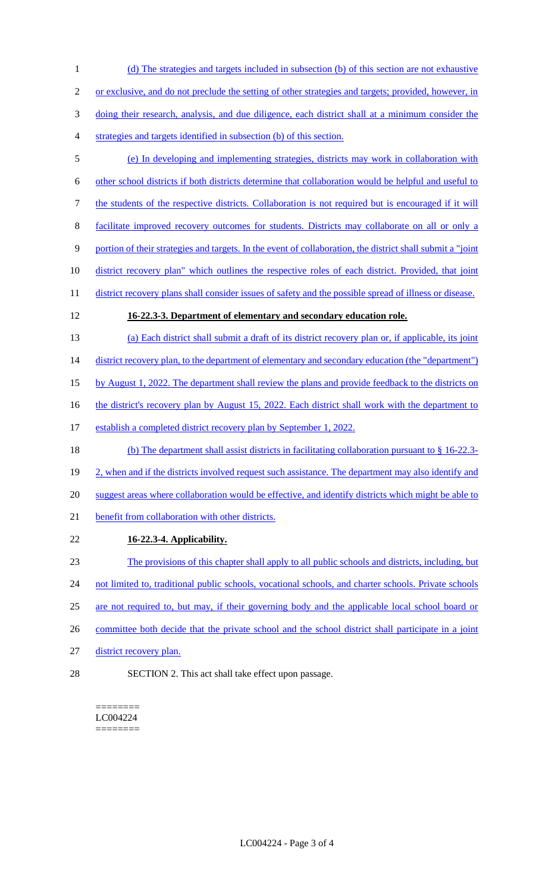(d) The strategies and targets included in subsection (b) of this section are not exhaustive or exclusive, and do not preclude the setting of other strategies and targets; provided, however, in doing their research, analysis, and due diligence, each district shall at a minimum consider the strategies and targets identified in subsection (b) of this section. (e) In developing and implementing strategies, districts may work in collaboration with

6 other school districts if both districts determine that collaboration would be helpful and useful to

7 the students of the respective districts. Collaboration is not required but is encouraged if it will

8 facilitate improved recovery outcomes for students. Districts may collaborate on all or only a

9 portion of their strategies and targets. In the event of collaboration, the district shall submit a "joint

10 district recovery plan" which outlines the respective roles of each district. Provided, that joint

11 district recovery plans shall consider issues of safety and the possible spread of illness or disease.

# 12 **16-22.3-3. Department of elementary and secondary education role.**

13 (a) Each district shall submit a draft of its district recovery plan or, if applicable, its joint

14 district recovery plan, to the department of elementary and secondary education (the "department")

15 by August 1, 2022. The department shall review the plans and provide feedback to the districts on

16 the district's recovery plan by August 15, 2022. Each district shall work with the department to

17 establish a completed district recovery plan by September 1, 2022.

18 (b) The department shall assist districts in facilitating collaboration pursuant to § 16-22.3- 19 2, when and if the districts involved request such assistance. The department may also identify and 20 suggest areas where collaboration would be effective, and identify districts which might be able to 21 benefit from collaboration with other districts.

22 **16-22.3-4. Applicability.** 

23 The provisions of this chapter shall apply to all public schools and districts, including, but 24 not limited to, traditional public schools, vocational schools, and charter schools. Private schools

- 25 are not required to, but may, if their governing body and the applicable local school board or
- 26 committee both decide that the private school and the school district shall participate in a joint
- 27 district recovery plan.
- 28 SECTION 2. This act shall take effect upon passage.

======== LC004224 ========